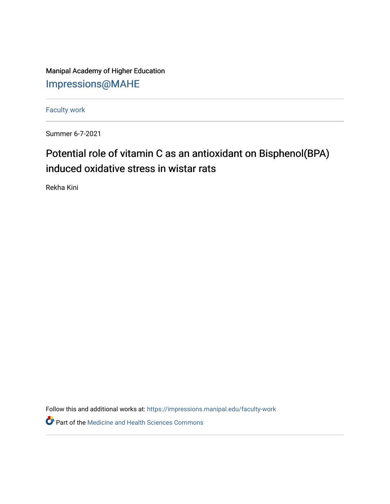Manipal Academy of Higher Education [Impressions@MAHE](https://impressions.manipal.edu/)

[Faculty work](https://impressions.manipal.edu/faculty-work) 

Summer 6-7-2021

## Potential role of vitamin C as an antioxidant on Bisphenol(BPA) induced oxidative stress in wistar rats

Rekha Kini

Follow this and additional works at: [https://impressions.manipal.edu/faculty-work](https://impressions.manipal.edu/faculty-work?utm_source=impressions.manipal.edu%2Ffaculty-work%2F108&utm_medium=PDF&utm_campaign=PDFCoverPages) 

Part of the [Medicine and Health Sciences Commons](http://network.bepress.com/hgg/discipline/648?utm_source=impressions.manipal.edu%2Ffaculty-work%2F108&utm_medium=PDF&utm_campaign=PDFCoverPages)